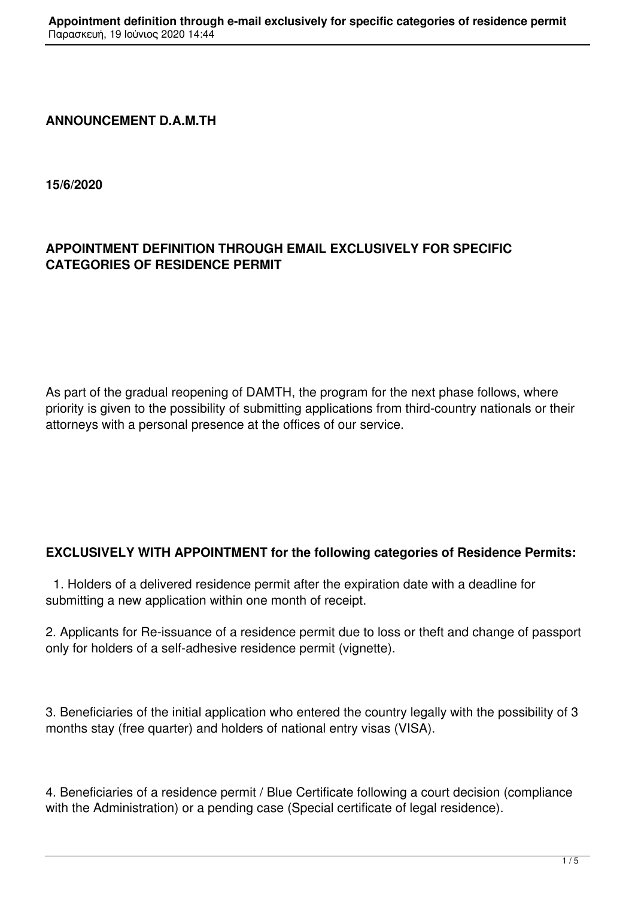## **ANNOUNCEMENT D.A.M.TH**

**15/6/2020**

## **APPOINTMENT DEFINITION THROUGH EMAIL EXCLUSIVELY FOR SPECIFIC CATEGORIES OF RESIDENCE PERMIT**

As part of the gradual reopening of DAMTH, the program for the next phase follows, where priority is given to the possibility of submitting applications from third-country nationals or their attorneys with a personal presence at the offices of our service.

## **EXCLUSIVELY WITH APPOINTMENT for the following categories of Residence Permits:**

 1. Holders of a delivered residence permit after the expiration date with a deadline for submitting a new application within one month of receipt.

2. Applicants for Re-issuance of a residence permit due to loss or theft and change of passport only for holders of a self-adhesive residence permit (vignette).

3. Beneficiaries of the initial application who entered the country legally with the possibility of 3 months stay (free quarter) and holders of national entry visas (VISA).

4. Beneficiaries of a residence permit / Blue Certificate following a court decision (compliance with the Administration) or a pending case (Special certificate of legal residence).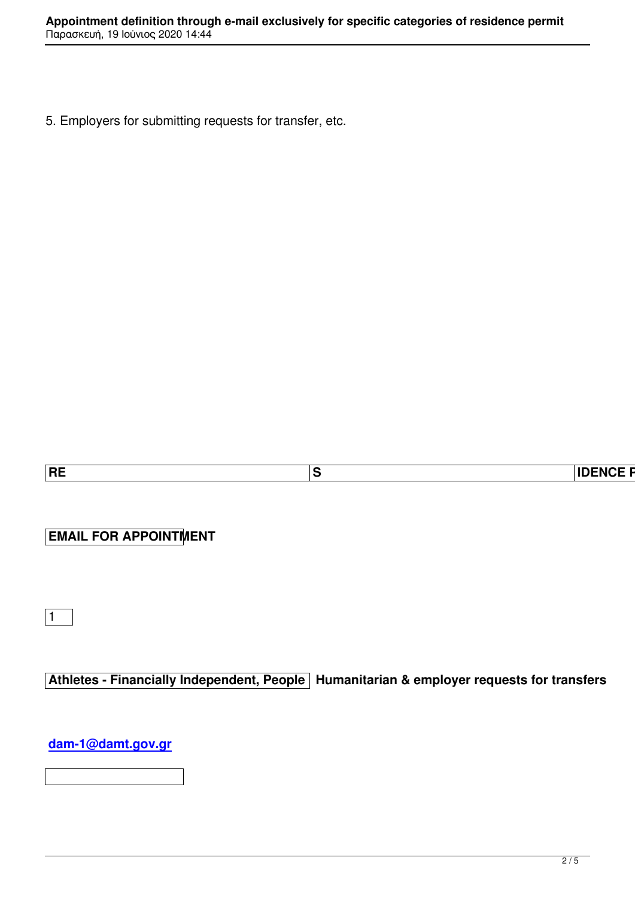5. Employers for submitting requests for transfer, etc.

| ----<br> RE<br>___<br>.<br>-<br>NH |  |  |
|------------------------------------|--|--|
|                                    |  |  |

**EMAIL FOR APPOINTMENT**

 $\sqrt{1}$ 

**Athletes - Financially Independent, People Humanitarian & employer requests for transfers**

**dam-1@damt.gov.gr**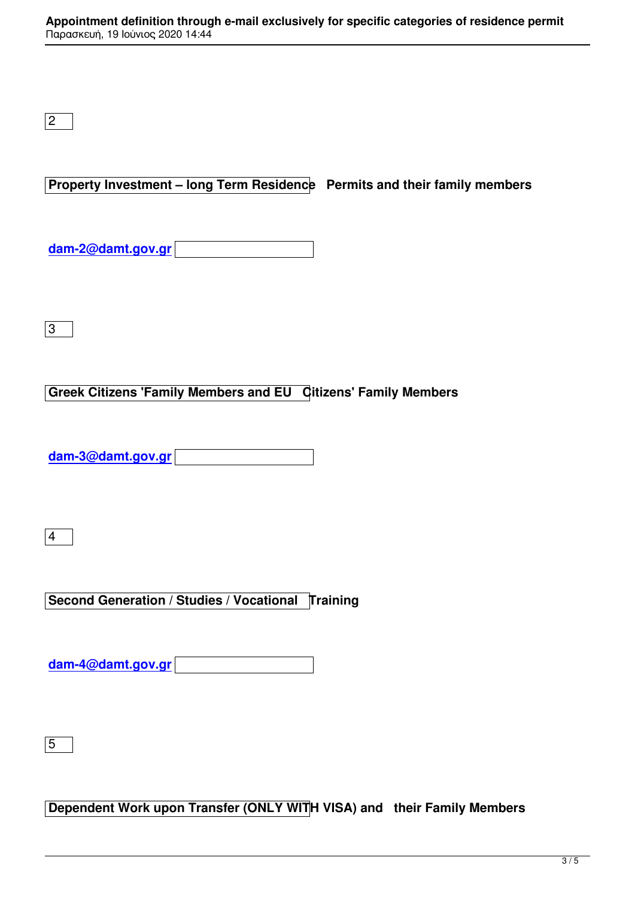**Property Investment – long Term Residence Permits and their family members**

**dam-2@damt.gov.gr**

 $\sqrt{3}$ 

## **Greek Citizens 'Family Members and EU Citizens' Family Members**

**dam-3@damt.gov.gr**

4

**Second Generation / Studies / Vocational Training** 

**dam-4@damt.gov.gr**

 $\sqrt{5}$ 

**Dependent Work upon Transfer (ONLY WITH VISA) and their Family Members**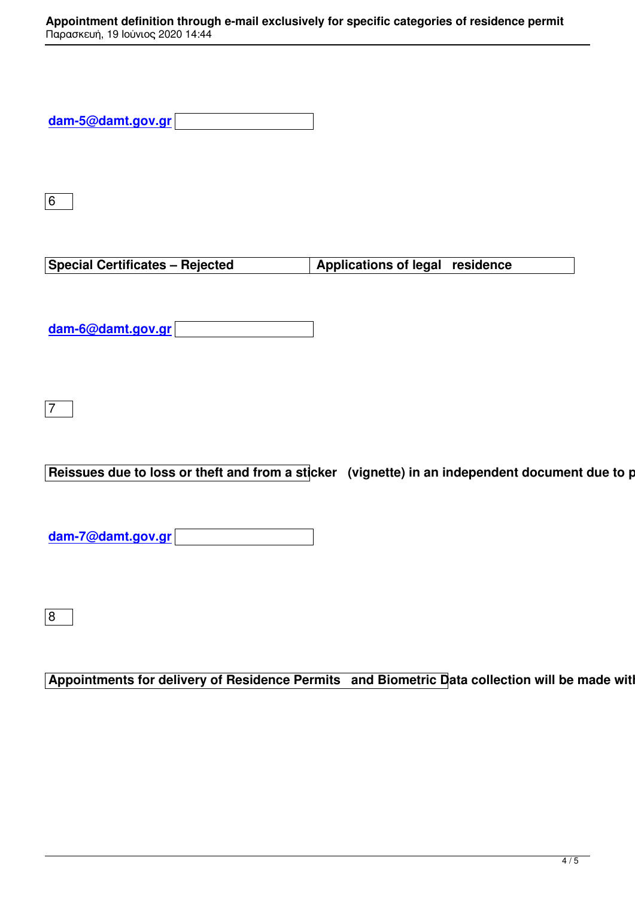| dam-5@damt.gov.gr |  |
|-------------------|--|
|                   |  |

6

**Special Certificates – Rejected Applications of legal residence** 

**dam-6@damt.gov.gr**

7

Reissues due to loss or theft and from a sticker (vignette) in an independent document due to pas

**dam-7@damt.gov.gr**

8

**Appointments for delivery of Residence Permits and Biometric Data collection will be made with the and Figure 20**